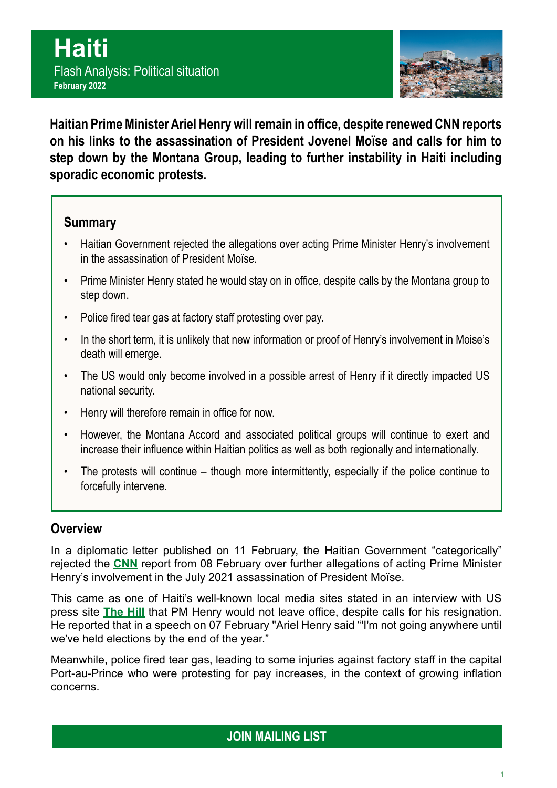

**Haitian Prime Minister Ariel Henry will remain in office, despite renewed CNN reports on his links to the assassination of President Jovenel Moïse and calls for him to step down by the Montana Group, leading to further instability in Haiti including sporadic economic protests.**

## **Summary**

- Haitian Government rejected the allegations over acting Prime Minister Henry's involvement in the assassination of President Moïse.
- Prime Minister Henry stated he would stay on in office, despite calls by the Montana group to step down.
- Police fired tear gas at factory staff protesting over pay.
- In the short term, it is unlikely that new information or proof of Henry's involvement in Moise's death will emerge.
- The US would only become involved in a possible arrest of Henry if it directly impacted US national security.
- Henry will therefore remain in office for now.
- However, the Montana Accord and associated political groups will continue to exert and increase their influence within Haitian politics as well as both regionally and internationally.
- The protests will continue though more intermittently, especially if the police continue to forcefully intervene.

## **Overview**

In a diplomatic letter published on 11 February, the Haitian Government "categorically" rejected the **[CNN](https://edition.cnn.com/2022/02/08/americas/haiti-assassination-investigation-prime-minister-intl-cmd-latam/index.html)** report from 08 February over further allegations of acting Prime Minister Henry's involvement in the July 2021 assassination of President Moïse.

This came as one of Haiti's well-known local media sites stated in an interview with US press site **[The Hill](https://thehill.com/hilltv/rising/593373-haiti-newspaper-editor-says-prime-minister-ariel-henry-refusing-calls-to-step)** that PM Henry would not leave office, despite calls for his resignation. He reported that in a speech on 07 February "Ariel Henry said "'I'm not going anywhere until we've held elections by the end of the year."

Meanwhile, police fired tear gas, leading to some injuries against factory staff in the capital Port-au-Prince who were protesting for pay increases, in the context of growing inflation concerns.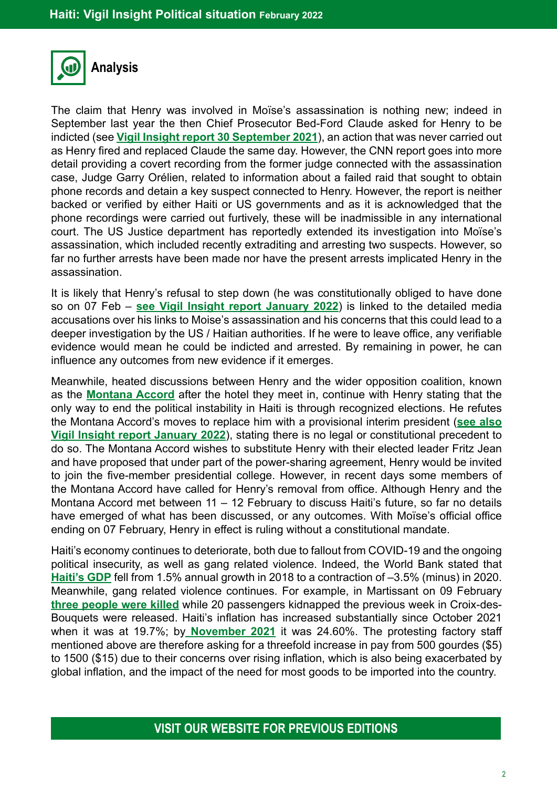

The claim that Henry was involved in Moïse's assassination is nothing new; indeed in September last year the then Chief Prosecutor Bed-Ford Claude asked for Henry to be indicted (see **[Vigil Insight report 30 September 2021](https://bit.ly/HaitiSitRep30Sept21)**), an action that was never carried out as Henry fired and replaced Claude the same day. However, the CNN report goes into more detail providing a covert recording from the former judge connected with the assassination case, Judge Garry Orélien, related to information about a failed raid that sought to obtain phone records and detain a key suspect connected to Henry. However, the report is neither backed or verified by either Haiti or US governments and as it is acknowledged that the phone recordings were carried out furtively, these will be inadmissible in any international court. The US Justice department has reportedly extended its investigation into Moïse's assassination, which included recently extraditing and arresting two suspects. However, so far no further arrests have been made nor have the present arrests implicated Henry in the assassination.

It is likely that Henry's refusal to step down (he was constitutionally obliged to have done so on 07 Feb – **[see Vigil Insight report January 2022](https://bit.ly/Jan2022Haiti)**) is linked to the detailed media accusations over his links to Moise's assassination and his concerns that this could lead to a deeper investigation by the US / Haitian authorities. If he were to leave office, any verifiable evidence would mean he could be indicted and arrested. By remaining in power, he can influence any outcomes from new evidence if it emerges.

Meanwhile, heated discussions between Henry and the wider opposition coalition, known as the **[Montana Accord](https://www.reuters.com/world/americas/leader-haitian-advocacy-group-urges-two-year-transition-government-2022-02-04/)** after the hotel they meet in, continue with Henry stating that the only way to end the political instability in Haiti is through recognized elections. He refutes the Montana Accord's moves to replace him with a provisional interim president (**[see also](https://bit.ly/Jan2022Haiti)  [Vigil Insight report January 2022](https://bit.ly/Jan2022Haiti)**), stating there is no legal or constitutional precedent to do so. The Montana Accord wishes to substitute Henry with their elected leader Fritz Jean and have proposed that under part of the power-sharing agreement, Henry would be invited to join the five-member presidential college. However, in recent days some members of the Montana Accord have called for Henry's removal from office. Although Henry and the Montana Accord met between 11 – 12 February to discuss Haiti's future, so far no details have emerged of what has been discussed, or any outcomes. With Moïse's official office ending on 07 February, Henry in effect is ruling without a constitutional mandate.

Haiti's economy continues to deteriorate, both due to fallout from COVID-19 and the ongoing political insecurity, as well as gang related violence. Indeed, the World Bank stated that **[Haiti's GDP](https://data.worldbank.org/indicator/NY.GDP.MKTP.KD.ZG?locations=HT)** fell from 1.5% annual growth in 2018 to a contraction of –3.5% (minus) in 2020. Meanwhile, gang related violence continues. For example, in Martissant on 09 February **[three people were killed](https://lenouvelliste.com/alaminute/21112/au-moins-trois-morts-dans-des-affrontements-entre-gangs-armes-a-martissant)** while 20 passengers kidnapped the previous week in Croix-des-Bouquets were released. Haiti's inflation has increased substantially since October 2021 when it was at 19.7%; by **[November 2021](https://tradingeconomics.com/haiti/inflation-cpi#:~:text=Inflation%20Rate%20in%20Haiti%20averaged,percent%20in%20September%20of%202009.)** it was 24.60%. The protesting factory staff mentioned above are therefore asking for a threefold increase in pay from 500 gourdes (\$5) to 1500 (\$15) due to their concerns over rising inflation, which is also being exacerbated by global inflation, and the impact of the need for most goods to be imported into the country.